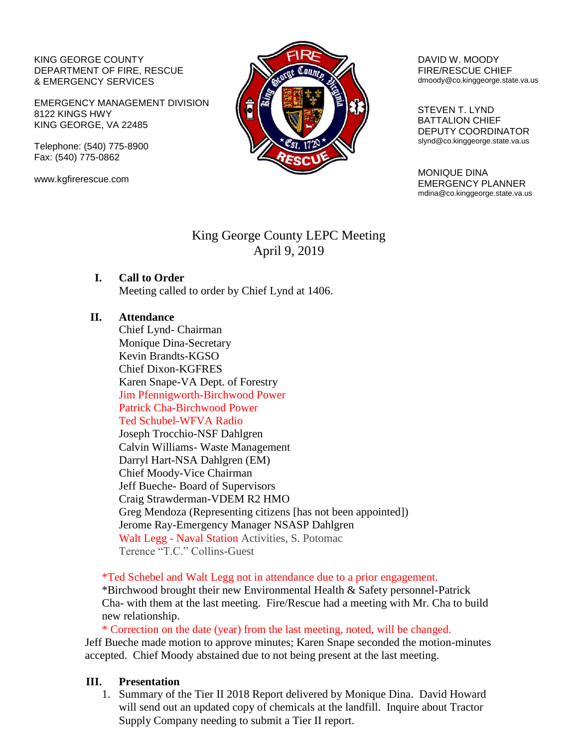#### KING GEORGE COUNTY DEPARTMENT OF FIRE, RESCUE & EMERGENCY SERVICES

EMERGENCY MANAGEMENT DIVISION 8122 KINGS HWY KING GEORGE, VA 22485

Telephone: (540) 775-8900 Fax: (540) 775-0862

www.kgfirerescue.com



#### DAVID W. MOODY FIRE/RESCUE CHIEF dmoody@co.kinggeorge.state.va.us

 STEVEN T. LYND BATTALION CHIEF DEPUTY COORDINATOR slynd@co.kinggeorge.state.va.us

MONIQUE DINA EMERGENCY PLANNER mdina@co.kinggeorge.state.va.us

## King George County LEPC Meeting April 9, 2019

# **I. Call to Order**

Meeting called to order by Chief Lynd at 1406.

### **II. Attendance**

Chief Lynd- Chairman Monique Dina-Secretary Kevin Brandts-KGSO Chief Dixon-KGFRES Karen Snape-VA Dept. of Forestry Jim Pfennigworth-Birchwood Power Patrick Cha-Birchwood Power Ted Schubel-WFVA Radio Joseph Trocchio-NSF Dahlgren Calvin Williams- Waste Management Darryl Hart-NSA Dahlgren (EM) Chief Moody-Vice Chairman Jeff Bueche- Board of Supervisors Craig Strawderman-VDEM R2 HMO Greg Mendoza (Representing citizens [has not been appointed]) Jerome Ray-Emergency Manager NSASP Dahlgren Walt Legg - Naval Station Activities, S. Potomac Terence "T.C." Collins-Guest

\*Ted Schebel and Walt Legg not in attendance due to a prior engagement.

\*Birchwood brought their new Environmental Health & Safety personnel-Patrick Cha- with them at the last meeting. Fire/Rescue had a meeting with Mr. Cha to build new relationship.

\* Correction on the date (year) from the last meeting, noted, will be changed. Jeff Bueche made motion to approve minutes; Karen Snape seconded the motion-minutes accepted. Chief Moody abstained due to not being present at the last meeting.

### **III. Presentation**

1. Summary of the Tier II 2018 Report delivered by Monique Dina. David Howard will send out an updated copy of chemicals at the landfill. Inquire about Tractor Supply Company needing to submit a Tier II report.